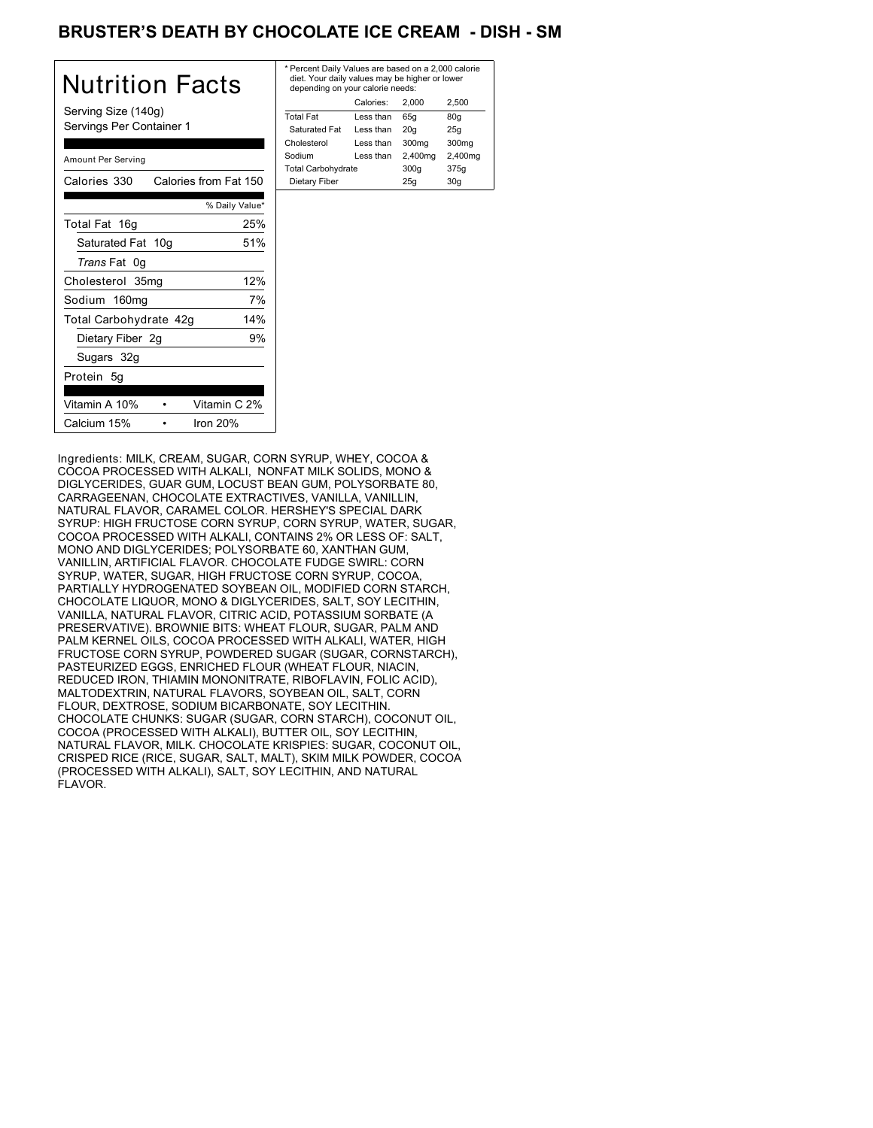# BRUSTER'S DEATH BY CHOCOLATE ICE CREAM - DISH - SM

| Nutrition Facts                                 | $*$ Pe<br>di<br>de |
|-------------------------------------------------|--------------------|
| Serving Size (140g)<br>Servings Per Container 1 | Tot<br>Sa          |
| Amount Per Serving                              | Cho<br>Soc<br>Tot  |
| Calories from Fat 150<br>Calories 330           | Di                 |
| % Daily Value*                                  |                    |
| 25%<br>Total Fat 16g                            |                    |
| Saturated Fat 10g<br>51%                        |                    |
| Trans Fat 0g                                    |                    |
| 12%<br>Cholesterol 35mg                         |                    |
| 7%<br>Sodium 160mg                              |                    |
| 14%<br>Total Carbohydrate 42g                   |                    |
| 9%<br>Dietary Fiber 2g                          |                    |
| Sugars 32g                                      |                    |
| Protein 5g                                      |                    |
| Vitamin C 2%<br>Vitamin A 10%                   |                    |
| Iron $20%$<br>Calcium 15%                       |                    |

| * Percent Daily Values are based on a 2,000 calorie<br>diet. Your daily values may be higher or lower<br>depending on your calorie needs: |           |         |                   |  |
|-------------------------------------------------------------------------------------------------------------------------------------------|-----------|---------|-------------------|--|
| Calories:<br>2.500<br>2.000                                                                                                               |           |         |                   |  |
| <b>Total Fat</b>                                                                                                                          | Less than | 65q     | 80q               |  |
| Saturated Fat                                                                                                                             | Less than | 20q     | 25q               |  |
| Cholesterol                                                                                                                               | Less than | 300mg   | 300 <sub>mq</sub> |  |
| Sodium                                                                                                                                    | Less than | 2,400mg | 2,400mg           |  |
| <b>Total Carbohydrate</b>                                                                                                                 |           | 300q    | 375g              |  |
| Dietary Fiber<br>25q<br>30q                                                                                                               |           |         |                   |  |

Ingredients: MILK, CREAM, SUGAR, CORN SYRUP, WHEY, COCOA & COCOA PROCESSED WITH ALKALI, NONFAT MILK SOLIDS, MONO & DIGLYCERIDES, GUAR GUM, LOCUST BEAN GUM, POLYSORBATE 80, CARRAGEENAN, CHOCOLATE EXTRACTIVES, VANILLA, VANILLIN, NATURAL FLAVOR, CARAMEL COLOR. HERSHEY'S SPECIAL DARK SYRUP: HIGH FRUCTOSE CORN SYRUP, CORN SYRUP, WATER, SUGAR, COCOA PROCESSED WITH ALKALI, CONTAINS 2% OR LESS OF: SALT, MONO AND DIGLYCERIDES; POLYSORBATE 60, XANTHAN GUM, VANILLIN, ARTIFICIAL FLAVOR. CHOCOLATE FUDGE SWIRL: CORN SYRUP, WATER, SUGAR, HIGH FRUCTOSE CORN SYRUP, COCOA, PARTIALLY HYDROGENATED SOYBEAN OIL, MODIFIED CORN STARCH, CHOCOLATE LIQUOR, MONO & DIGLYCERIDES, SALT, SOY LECITHIN, VANILLA, NATURAL FLAVOR, CITRIC ACID, POTASSIUM SORBATE (A PRESERVATIVE). BROWNIE BITS: WHEAT FLOUR, SUGAR, PALM AND PALM KERNEL OILS, COCOA PROCESSED WITH ALKALI, WATER, HIGH FRUCTOSE CORN SYRUP, POWDERED SUGAR (SUGAR, CORNSTARCH), PASTEURIZED EGGS, ENRICHED FLOUR (WHEAT FLOUR, NIACIN, REDUCED IRON, THIAMIN MONONITRATE, RIBOFLAVIN, FOLIC ACID), MALTODEXTRIN, NATURAL FLAVORS, SOYBEAN OIL, SALT, CORN FLOUR, DEXTROSE, SODIUM BICARBONATE, SOY LECITHIN. CHOCOLATE CHUNKS: SUGAR (SUGAR, CORN STARCH), COCONUT OIL, COCOA (PROCESSED WITH ALKALI), BUTTER OIL, SOY LECITHIN, NATURAL FLAVOR, MILK. CHOCOLATE KRISPIES: SUGAR, COCONUT OIL, CRISPED RICE (RICE, SUGAR, SALT, MALT), SKIM MILK POWDER, COCOA (PROCESSED WITH ALKALI), SALT, SOY LECITHIN, AND NATURAL FLAVOR.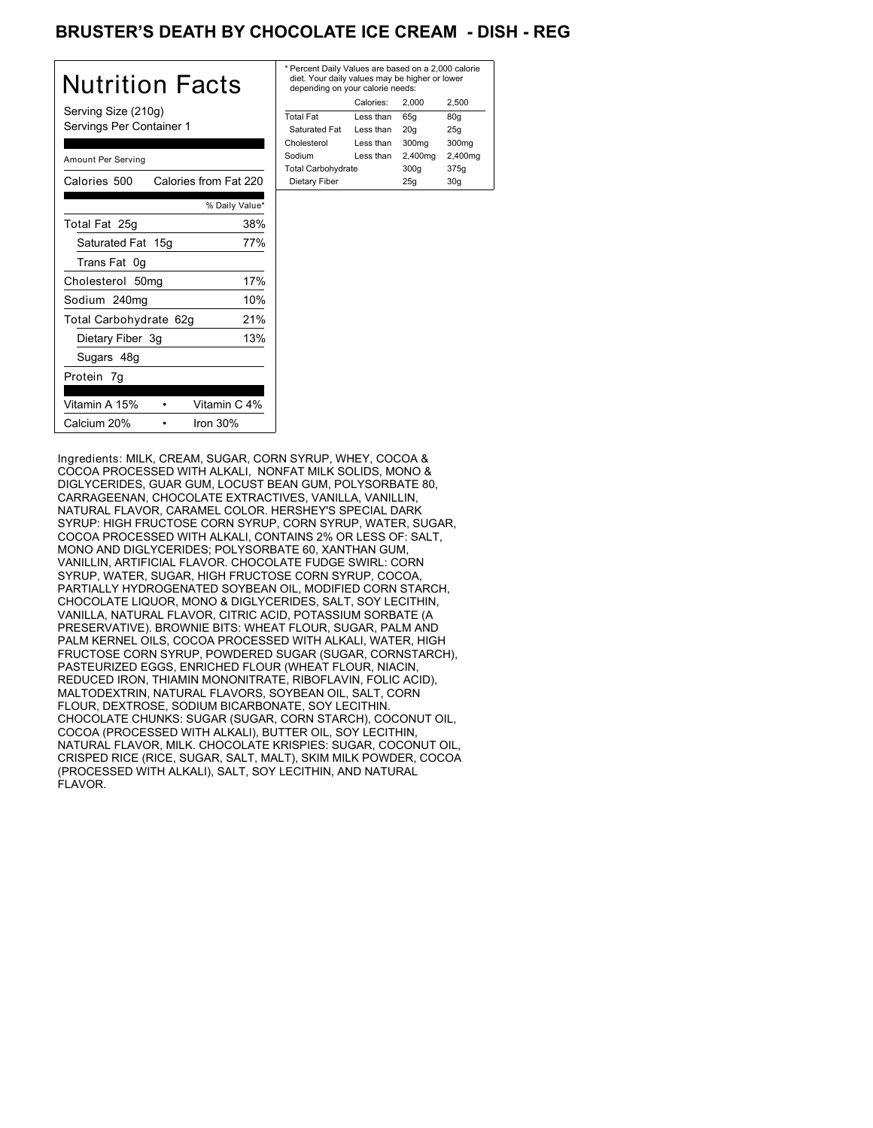# BRUSTER'S DEATH BY CHOCOLATE ICE CREAM - DISH - REG

| Nutrition Facts                                 | * Pe<br>die<br>de  |
|-------------------------------------------------|--------------------|
| Serving Size (210g)<br>Servings Per Container 1 | Tota<br>Sa         |
| Amount Per Serving                              | Cho<br>Soc<br>Tota |
| Calories 500<br>Calories from Fat 220           | Di                 |
| % Daily Value*                                  |                    |
| Total Fat 25g<br>38%                            |                    |
| 77%<br>Saturated Fat 15g                        |                    |
| Trans Fat 0g                                    |                    |
| 17%<br>Cholesterol 50mg                         |                    |
| 10%<br>Sodium 240mg                             |                    |
| 21%<br>Total Carbohydrate 62g                   |                    |
| 13%<br>Dietary Fiber 3g                         |                    |
| Sugars 48g                                      |                    |
| Protein 7g                                      |                    |
| Vitamin C 4%<br>Vitamin A 15%                   |                    |
| Calcium 20%<br>Iron $30%$                       |                    |

| * Percent Daily Values are based on a 2,000 calorie<br>diet. Your daily values may be higher or lower<br>depending on your calorie needs: |           |         |                   |
|-------------------------------------------------------------------------------------------------------------------------------------------|-----------|---------|-------------------|
|                                                                                                                                           | Calories: | 2.000   | 2.500             |
| <b>Total Fat</b>                                                                                                                          | Less than | 65q     | 80q               |
| Saturated Fat                                                                                                                             | Less than | 20q     | 25q               |
| Cholesterol                                                                                                                               | Less than | 300mg   | 300 <sub>mq</sub> |
| Sodium                                                                                                                                    | Less than | 2,400mg | 2,400mg           |
| <b>Total Carbohydrate</b>                                                                                                                 |           | 300q    | 375g              |
| Dietary Fiber                                                                                                                             |           | 25q     | 30q               |

Ingredients: MILK, CREAM, SUGAR, CORN SYRUP, WHEY, COCOA & COCOA PROCESSED WITH ALKALI, NONFAT MILK SOLIDS, MONO & DIGLYCERIDES, GUAR GUM, LOCUST BEAN GUM, POLYSORBATE 80, CARRAGEENAN, CHOCOLATE EXTRACTIVES, VANILLA, VANILLIN, NATURAL FLAVOR, CARAMEL COLOR. HERSHEY'S SPECIAL DARK SYRUP: HIGH FRUCTOSE CORN SYRUP, CORN SYRUP, WATER, SUGAR, COCOA PROCESSED WITH ALKALI, CONTAINS 2% OR LESS OF: SALT, MONO AND DIGLYCERIDES; POLYSORBATE 60, XANTHAN GUM, VANILLIN, ARTIFICIAL FLAVOR. CHOCOLATE FUDGE SWIRL: CORN SYRUP, WATER, SUGAR, HIGH FRUCTOSE CORN SYRUP, COCOA, PARTIALLY HYDROGENATED SOYBEAN OIL, MODIFIED CORN STARCH, CHOCOLATE LIQUOR, MONO & DIGLYCERIDES, SALT, SOY LECITHIN, VANILLA, NATURAL FLAVOR, CITRIC ACID, POTASSIUM SORBATE (A PRESERVATIVE). BROWNIE BITS: WHEAT FLOUR, SUGAR, PALM AND PALM KERNEL OILS, COCOA PROCESSED WITH ALKALI, WATER, HIGH FRUCTOSE CORN SYRUP, POWDERED SUGAR (SUGAR, CORNSTARCH), PASTEURIZED EGGS, ENRICHED FLOUR (WHEAT FLOUR, NIACIN, REDUCED IRON, THIAMIN MONONITRATE, RIBOFLAVIN, FOLIC ACID), MALTODEXTRIN, NATURAL FLAVORS, SOYBEAN OIL, SALT, CORN FLOUR, DEXTROSE, SODIUM BICARBONATE, SOY LECITHIN. CHOCOLATE CHUNKS: SUGAR (SUGAR, CORN STARCH), COCONUT OIL, COCOA (PROCESSED WITH ALKALI), BUTTER OIL, SOY LECITHIN, NATURAL FLAVOR, MILK. CHOCOLATE KRISPIES: SUGAR, COCONUT OIL, CRISPED RICE (RICE, SUGAR, SALT, MALT), SKIM MILK POWDER, COCOA (PROCESSED WITH ALKALI), SALT, SOY LECITHIN, AND NATURAL FLAVOR.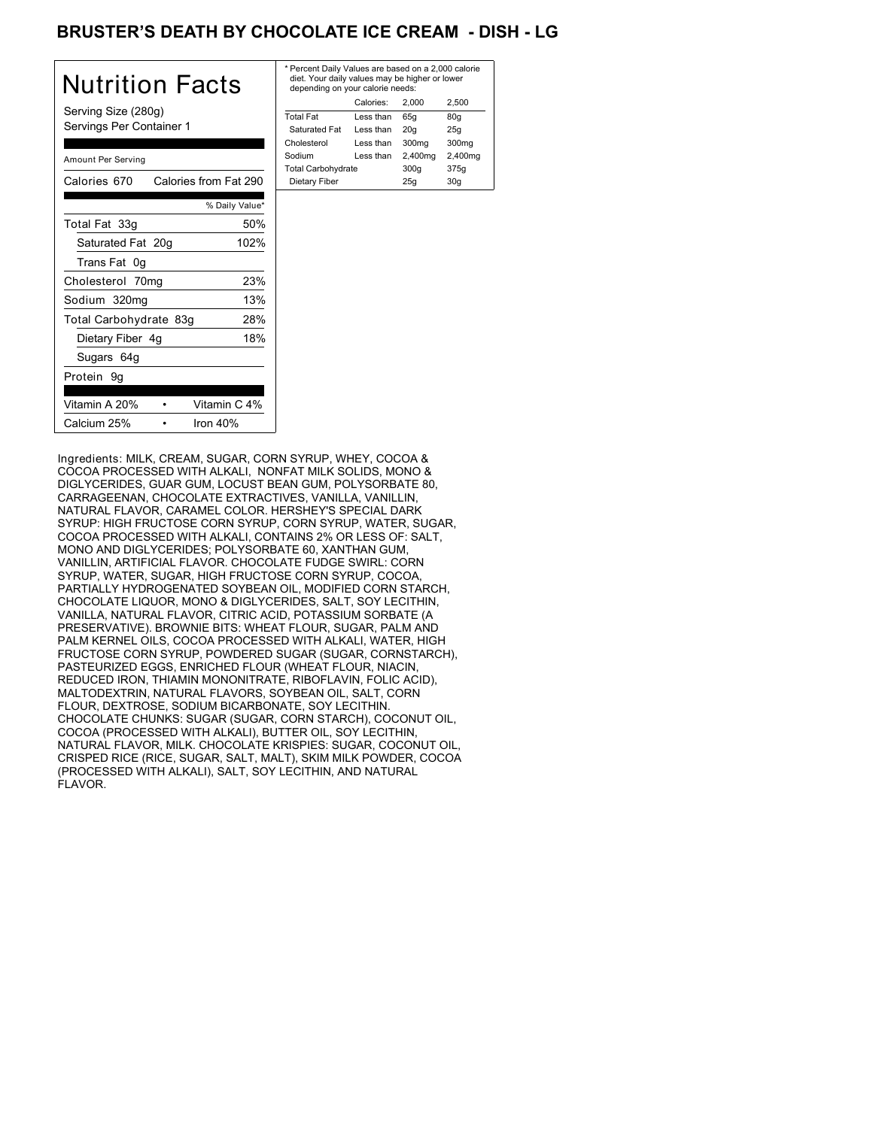# BRUSTER'S DEATH BY CHOCOLATE ICE CREAM - DISH - LG

| Nutrition Facts                                 | * F<br>c<br>d  |
|-------------------------------------------------|----------------|
| Serving Size (280g)<br>Servings Per Container 1 | Тc<br>Ś        |
| Amount Per Serving                              | Cł<br>Sc<br>Тc |
| Calories from Fat 290<br>Calories 670           | С              |
| % Daily Value*                                  |                |
| 50%<br>Total Fat 33g                            |                |
| Saturated Fat 20g<br>102%                       |                |
| Trans Fat 0g                                    |                |
| 23%<br>Cholesterol 70mg                         |                |
| 13%<br>Sodium 320mg                             |                |
| 28%<br>Total Carbohydrate 83g                   |                |
| 18%<br>Dietary Fiber 4g                         |                |
| Sugars 64g                                      |                |
| Protein 9g                                      |                |
| Vitamin C 4%<br>Vitamin A 20%                   |                |
| Calcium 25%<br>lron 40%                         |                |

| * Percent Daily Values are based on a 2,000 calorie<br>diet. Your daily values may be higher or lower<br>depending on your calorie needs: |         |         |  |
|-------------------------------------------------------------------------------------------------------------------------------------------|---------|---------|--|
| Calories:                                                                                                                                 | 2.000   | 2.500   |  |
| Less than                                                                                                                                 | 65q     | 80q     |  |
| Less than                                                                                                                                 | 20q     | 25q     |  |
| Less than                                                                                                                                 | 300mg   | 300mg   |  |
| Less than                                                                                                                                 | 2,400mg | 2,400mg |  |
| <b>Total Carbohydrate</b>                                                                                                                 |         | 375g    |  |
| Dietary Fiber<br>25q<br>30q                                                                                                               |         |         |  |
|                                                                                                                                           |         | 300q    |  |

Ingredients: MILK, CREAM, SUGAR, CORN SYRUP, WHEY, COCOA & COCOA PROCESSED WITH ALKALI, NONFAT MILK SOLIDS, MONO & DIGLYCERIDES, GUAR GUM, LOCUST BEAN GUM, POLYSORBATE 80, CARRAGEENAN, CHOCOLATE EXTRACTIVES, VANILLA, VANILLIN, NATURAL FLAVOR, CARAMEL COLOR. HERSHEY'S SPECIAL DARK SYRUP: HIGH FRUCTOSE CORN SYRUP, CORN SYRUP, WATER, SUGAR, COCOA PROCESSED WITH ALKALI, CONTAINS 2% OR LESS OF: SALT, MONO AND DIGLYCERIDES; POLYSORBATE 60, XANTHAN GUM, VANILLIN, ARTIFICIAL FLAVOR. CHOCOLATE FUDGE SWIRL: CORN SYRUP, WATER, SUGAR, HIGH FRUCTOSE CORN SYRUP, COCOA, PARTIALLY HYDROGENATED SOYBEAN OIL, MODIFIED CORN STARCH, CHOCOLATE LIQUOR, MONO & DIGLYCERIDES, SALT, SOY LECITHIN, VANILLA, NATURAL FLAVOR, CITRIC ACID, POTASSIUM SORBATE (A PRESERVATIVE). BROWNIE BITS: WHEAT FLOUR, SUGAR, PALM AND PALM KERNEL OILS, COCOA PROCESSED WITH ALKALI, WATER, HIGH FRUCTOSE CORN SYRUP, POWDERED SUGAR (SUGAR, CORNSTARCH), PASTEURIZED EGGS, ENRICHED FLOUR (WHEAT FLOUR, NIACIN, REDUCED IRON, THIAMIN MONONITRATE, RIBOFLAVIN, FOLIC ACID), MALTODEXTRIN, NATURAL FLAVORS, SOYBEAN OIL, SALT, CORN FLOUR, DEXTROSE, SODIUM BICARBONATE, SOY LECITHIN. CHOCOLATE CHUNKS: SUGAR (SUGAR, CORN STARCH), COCONUT OIL, COCOA (PROCESSED WITH ALKALI), BUTTER OIL, SOY LECITHIN, NATURAL FLAVOR, MILK. CHOCOLATE KRISPIES: SUGAR, COCONUT OIL, CRISPED RICE (RICE, SUGAR, SALT, MALT), SKIM MILK POWDER, COCOA (PROCESSED WITH ALKALI), SALT, SOY LECITHIN, AND NATURAL FLAVOR.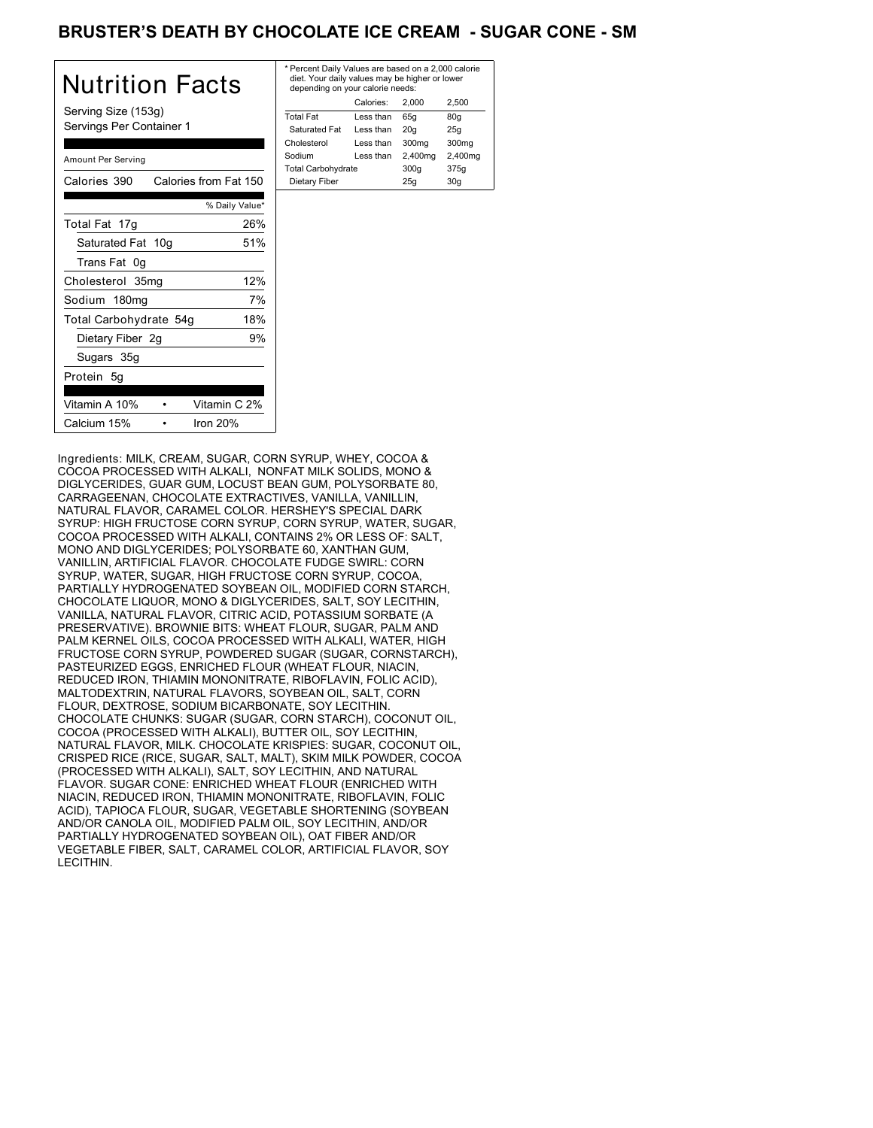# BRUSTER'S DEATH BY CHOCOLATE ICE CREAM - SUGAR CONE - SM

| Nutrition Facts                                 | * Pe<br>die<br>de |
|-------------------------------------------------|-------------------|
| Serving Size (153g)<br>Servings Per Container 1 | Tota<br>Sa<br>Cho |
| Amount Per Serving                              | Sod<br>Tota       |
| Calories from Fat 150<br>Calories 390           | Die               |
| % Daily Value*                                  |                   |
| 26%<br>Total Fat 17g                            |                   |
| Saturated Fat 10g<br>51%                        |                   |
| Trans Fat 0g                                    |                   |
| 12%<br>Cholesterol 35mg                         |                   |
| 7%<br>Sodium 180mg                              |                   |
| 18%<br>Total Carbohydrate 54g                   |                   |
| Dietary Fiber 2g<br>9%                          |                   |
| Sugars 35g                                      |                   |
| Protein 5g                                      |                   |
| Vitamin C 2%<br>Vitamin A 10%                   |                   |
| Calcium 15%<br>Iron $20%$                       |                   |

| * Percent Daily Values are based on a 2,000 calorie<br>diet. Your daily values may be higher or lower<br>depending on your calorie needs: |           |         |                   |
|-------------------------------------------------------------------------------------------------------------------------------------------|-----------|---------|-------------------|
|                                                                                                                                           | Calories: | 2.000   | 2.500             |
| <b>Total Fat</b>                                                                                                                          | Less than | 65q     | 80q               |
| Saturated Fat                                                                                                                             | Less than | 20q     | 25q               |
| Cholesterol                                                                                                                               | Less than | 300mg   | 300 <sub>mq</sub> |
| Sodium                                                                                                                                    | Less than | 2,400mg | 2,400mg           |
| <b>Total Carbohydrate</b>                                                                                                                 |           | 300q    | 375g              |
| Dietary Fiber<br>25q<br>30q                                                                                                               |           |         |                   |
|                                                                                                                                           |           |         |                   |

Ingredients: MILK, CREAM, SUGAR, CORN SYRUP, WHEY, COCOA & COCOA PROCESSED WITH ALKALI, NONFAT MILK SOLIDS, MONO & DIGLYCERIDES, GUAR GUM, LOCUST BEAN GUM, POLYSORBATE 80, CARRAGEENAN, CHOCOLATE EXTRACTIVES, VANILLA, VANILLIN, NATURAL FLAVOR, CARAMEL COLOR. HERSHEY'S SPECIAL DARK SYRUP: HIGH FRUCTOSE CORN SYRUP, CORN SYRUP, WATER, SUGAR, COCOA PROCESSED WITH ALKALI, CONTAINS 2% OR LESS OF: SALT, MONO AND DIGLYCERIDES; POLYSORBATE 60, XANTHAN GUM, VANILLIN, ARTIFICIAL FLAVOR. CHOCOLATE FUDGE SWIRL: CORN SYRUP, WATER, SUGAR, HIGH FRUCTOSE CORN SYRUP, COCOA, PARTIALLY HYDROGENATED SOYBEAN OIL, MODIFIED CORN STARCH, CHOCOLATE LIQUOR, MONO & DIGLYCERIDES, SALT, SOY LECITHIN, VANILLA, NATURAL FLAVOR, CITRIC ACID, POTASSIUM SORBATE (A PRESERVATIVE). BROWNIE BITS: WHEAT FLOUR, SUGAR, PALM AND PALM KERNEL OILS, COCOA PROCESSED WITH ALKALI, WATER, HIGH FRUCTOSE CORN SYRUP, POWDERED SUGAR (SUGAR, CORNSTARCH), PASTEURIZED EGGS, ENRICHED FLOUR (WHEAT FLOUR, NIACIN, REDUCED IRON, THIAMIN MONONITRATE, RIBOFLAVIN, FOLIC ACID), MALTODEXTRIN, NATURAL FLAVORS, SOYBEAN OIL, SALT, CORN FLOUR, DEXTROSE, SODIUM BICARBONATE, SOY LECITHIN. CHOCOLATE CHUNKS: SUGAR (SUGAR, CORN STARCH), COCONUT OIL, COCOA (PROCESSED WITH ALKALI), BUTTER OIL, SOY LECITHIN, NATURAL FLAVOR, MILK. CHOCOLATE KRISPIES: SUGAR, COCONUT OIL, CRISPED RICE (RICE, SUGAR, SALT, MALT), SKIM MILK POWDER, COCOA (PROCESSED WITH ALKALI), SALT, SOY LECITHIN, AND NATURAL FLAVOR. SUGAR CONE: ENRICHED WHEAT FLOUR (ENRICHED WITH NIACIN, REDUCED IRON, THIAMIN MONONITRATE, RIBOFLAVIN, FOLIC ACID), TAPIOCA FLOUR, SUGAR, VEGETABLE SHORTENING (SOYBEAN AND/OR CANOLA OIL, MODIFIED PALM OIL, SOY LECITHIN, AND/OR PARTIALLY HYDROGENATED SOYBEAN OIL), OAT FIBER AND/OR VEGETABLE FIBER, SALT, CARAMEL COLOR, ARTIFICIAL FLAVOR, SOY **LECITHIN**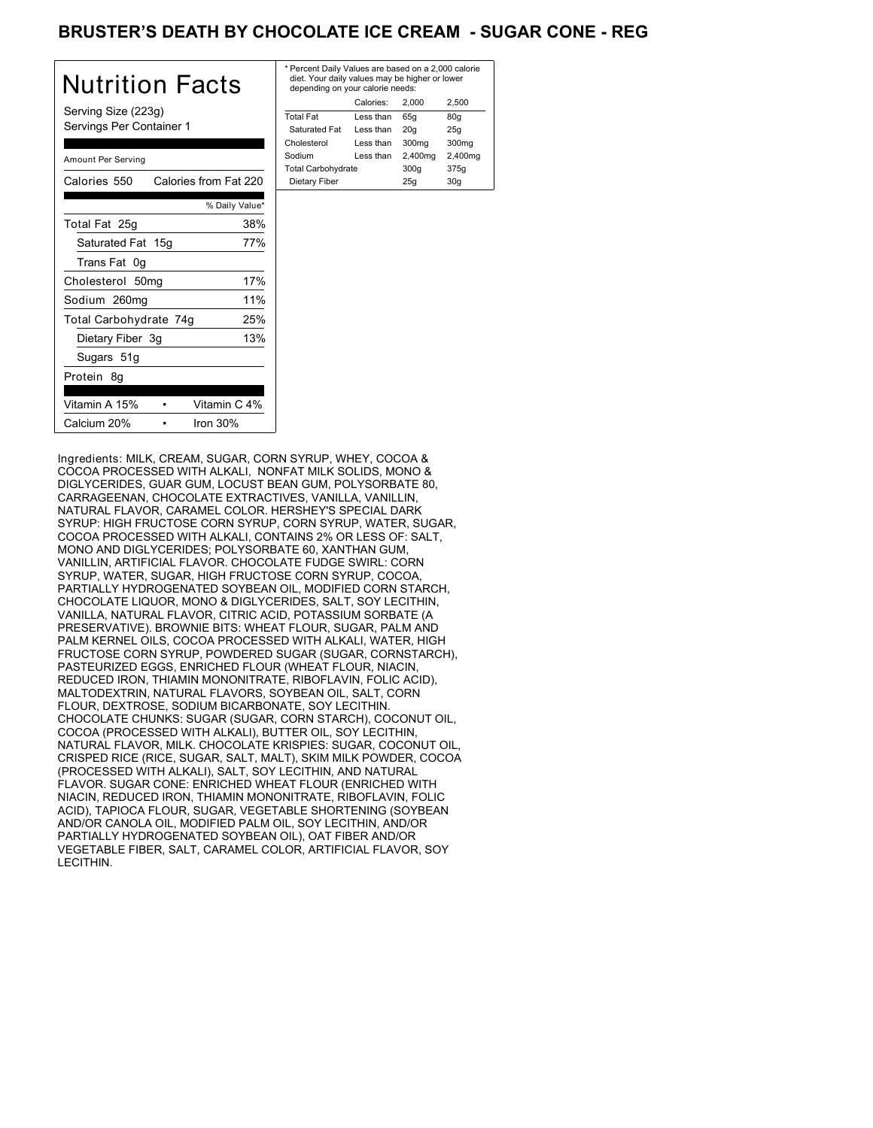# BRUSTER'S DEATH BY CHOCOLATE ICE CREAM - SUGAR CONE - REG

| Nutrition Facts                                 | * Pe<br>die<br>de |
|-------------------------------------------------|-------------------|
| Serving Size (223g)<br>Servings Per Container 1 | Tota<br>Sa<br>Cho |
| Amount Per Serving                              | Sod<br>Tota       |
| Calories 550 Calories from Fat 220              | Die               |
| % Daily Value*                                  |                   |
| 38%<br>Total Fat 25g                            |                   |
| 77%<br>Saturated Fat 15g                        |                   |
| Trans Fat 0g                                    |                   |
| Cholesterol 50mg<br>17%                         |                   |
| 11%<br>Sodium 260mg                             |                   |
| 25%<br>Total Carbohydrate 74g                   |                   |
| 13%<br>Dietary Fiber 3g                         |                   |
| Sugars 51g                                      |                   |
| Protein 8q                                      |                   |
| Vitamin C 4%<br>Vitamin A 15%                   |                   |
| Calcium 20%<br>Iron 30%                         |                   |

| * Percent Daily Values are based on a 2,000 calorie<br>diet. Your daily values may be higher or lower<br>depending on your calorie needs: |           |         |         |  |
|-------------------------------------------------------------------------------------------------------------------------------------------|-----------|---------|---------|--|
| Calories:<br>2.500<br>2.000                                                                                                               |           |         |         |  |
| <b>Total Fat</b>                                                                                                                          | Less than | 65q     | 80q     |  |
| Saturated Fat                                                                                                                             | Less than | 20q     | 25q     |  |
| Cholesterol                                                                                                                               | Less than | 300mg   | 300mg   |  |
| Sodium                                                                                                                                    | Less than | 2,400mg | 2,400mg |  |
| <b>Total Carbohydrate</b>                                                                                                                 |           | 300q    | 375g    |  |
| Dietary Fiber<br>30q<br>25q                                                                                                               |           |         |         |  |
|                                                                                                                                           |           |         |         |  |

Ingredients: MILK, CREAM, SUGAR, CORN SYRUP, WHEY, COCOA & COCOA PROCESSED WITH ALKALI, NONFAT MILK SOLIDS, MONO & DIGLYCERIDES, GUAR GUM, LOCUST BEAN GUM, POLYSORBATE 80, CARRAGEENAN, CHOCOLATE EXTRACTIVES, VANILLA, VANILLIN, NATURAL FLAVOR, CARAMEL COLOR. HERSHEY'S SPECIAL DARK SYRUP: HIGH FRUCTOSE CORN SYRUP, CORN SYRUP, WATER, SUGAR, COCOA PROCESSED WITH ALKALI, CONTAINS 2% OR LESS OF: SALT, MONO AND DIGLYCERIDES; POLYSORBATE 60, XANTHAN GUM, VANILLIN, ARTIFICIAL FLAVOR. CHOCOLATE FUDGE SWIRL: CORN SYRUP, WATER, SUGAR, HIGH FRUCTOSE CORN SYRUP, COCOA, PARTIALLY HYDROGENATED SOYBEAN OIL, MODIFIED CORN STARCH, CHOCOLATE LIQUOR, MONO & DIGLYCERIDES, SALT, SOY LECITHIN, VANILLA, NATURAL FLAVOR, CITRIC ACID, POTASSIUM SORBATE (A PRESERVATIVE). BROWNIE BITS: WHEAT FLOUR, SUGAR, PALM AND PALM KERNEL OILS, COCOA PROCESSED WITH ALKALI, WATER, HIGH FRUCTOSE CORN SYRUP, POWDERED SUGAR (SUGAR, CORNSTARCH), PASTEURIZED EGGS, ENRICHED FLOUR (WHEAT FLOUR, NIACIN, REDUCED IRON, THIAMIN MONONITRATE, RIBOFLAVIN, FOLIC ACID), MALTODEXTRIN, NATURAL FLAVORS, SOYBEAN OIL, SALT, CORN FLOUR, DEXTROSE, SODIUM BICARBONATE, SOY LECITHIN. CHOCOLATE CHUNKS: SUGAR (SUGAR, CORN STARCH), COCONUT OIL, COCOA (PROCESSED WITH ALKALI), BUTTER OIL, SOY LECITHIN, NATURAL FLAVOR, MILK. CHOCOLATE KRISPIES: SUGAR, COCONUT OIL, CRISPED RICE (RICE, SUGAR, SALT, MALT), SKIM MILK POWDER, COCOA (PROCESSED WITH ALKALI), SALT, SOY LECITHIN, AND NATURAL FLAVOR. SUGAR CONE: ENRICHED WHEAT FLOUR (ENRICHED WITH NIACIN, REDUCED IRON, THIAMIN MONONITRATE, RIBOFLAVIN, FOLIC ACID), TAPIOCA FLOUR, SUGAR, VEGETABLE SHORTENING (SOYBEAN AND/OR CANOLA OIL, MODIFIED PALM OIL, SOY LECITHIN, AND/OR PARTIALLY HYDROGENATED SOYBEAN OIL), OAT FIBER AND/OR VEGETABLE FIBER, SALT, CARAMEL COLOR, ARTIFICIAL FLAVOR, SOY **LECITHIN**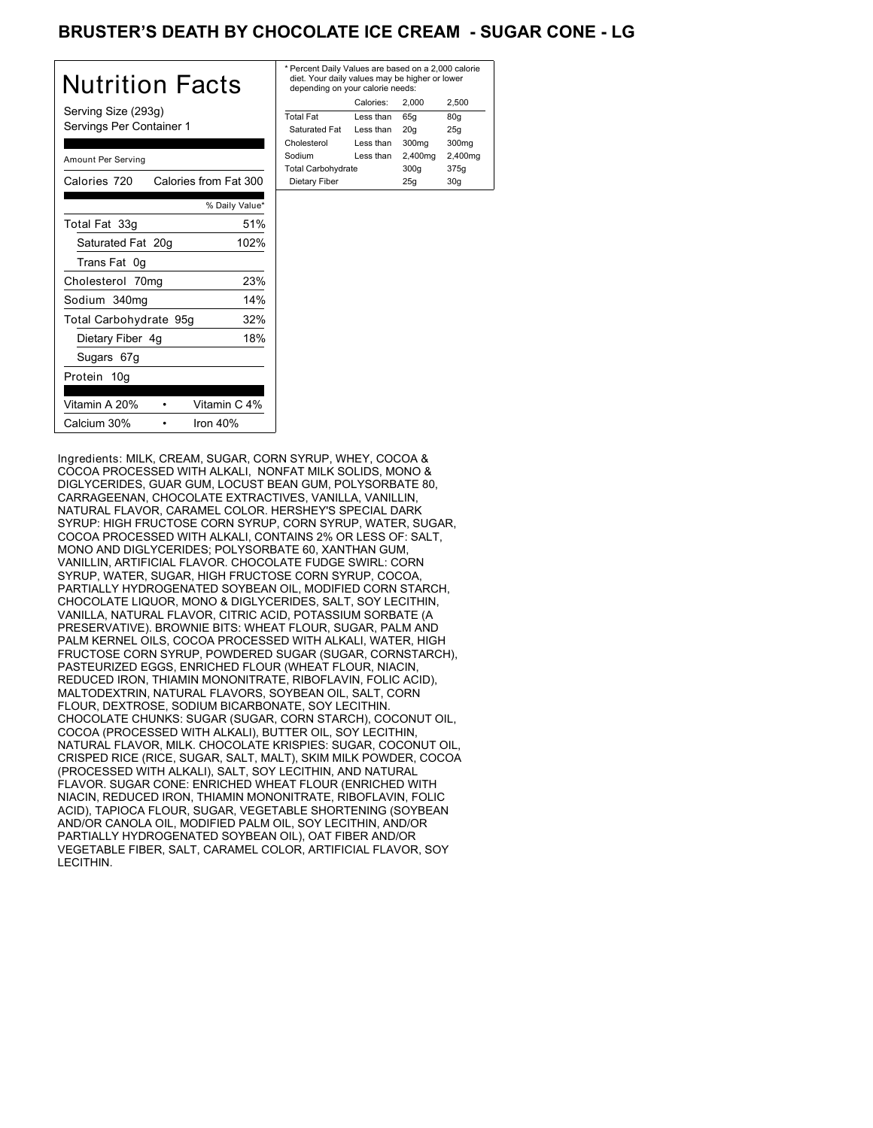# BRUSTER'S DEATH BY CHOCOLATE ICE CREAM - SUGAR CONE - LG

| Nutrition Facts                                 | $*$ Pe<br>di<br>de |
|-------------------------------------------------|--------------------|
| Serving Size (293g)<br>Servings Per Container 1 | Tot<br>S.<br>Cho   |
| Amount Per Serving                              | <b>Soc</b><br>Tot  |
| Calories from Fat 300<br>Calories 720           | Di                 |
| % Daily Value*                                  |                    |
| 51%<br>Total Fat 33g                            |                    |
| Saturated Fat 20g<br>102%                       |                    |
| Trans Fat 0g                                    |                    |
| 23%<br>Cholesterol 70mg                         |                    |
| 14%<br>Sodium 340mg                             |                    |
| 32%<br>Total Carbohydrate 95g                   |                    |
| 18%<br>Dietary Fiber 4g                         |                    |
| Sugars 67g                                      |                    |
| Protein 10g                                     |                    |
| Vitamin C 4%<br>Vitamin A 20%                   |                    |
| Calcium 30%<br>Iron $40%$                       |                    |

| * Percent Daily Values are based on a 2,000 calorie<br>diet. Your daily values may be higher or lower<br>depending on your calorie needs: |           |         |         |
|-------------------------------------------------------------------------------------------------------------------------------------------|-----------|---------|---------|
|                                                                                                                                           | Calories: | 2.000   | 2.500   |
| <b>Total Fat</b>                                                                                                                          | Less than | 65q     | 80q     |
| Saturated Fat                                                                                                                             | Less than | 20q     | 25q     |
| Cholesterol                                                                                                                               | Less than | 300mg   | 300mg   |
| Sodium                                                                                                                                    | Less than | 2,400mg | 2,400mg |
| <b>Total Carbohydrate</b>                                                                                                                 |           | 300q    | 375g    |
| Dietary Fiber<br>30q<br>25q                                                                                                               |           |         |         |
|                                                                                                                                           |           |         |         |

Ingredients: MILK, CREAM, SUGAR, CORN SYRUP, WHEY, COCOA & COCOA PROCESSED WITH ALKALI, NONFAT MILK SOLIDS, MONO & DIGLYCERIDES, GUAR GUM, LOCUST BEAN GUM, POLYSORBATE 80, CARRAGEENAN, CHOCOLATE EXTRACTIVES, VANILLA, VANILLIN, NATURAL FLAVOR, CARAMEL COLOR. HERSHEY'S SPECIAL DARK SYRUP: HIGH FRUCTOSE CORN SYRUP, CORN SYRUP, WATER, SUGAR, COCOA PROCESSED WITH ALKALI, CONTAINS 2% OR LESS OF: SALT, MONO AND DIGLYCERIDES; POLYSORBATE 60, XANTHAN GUM, VANILLIN, ARTIFICIAL FLAVOR. CHOCOLATE FUDGE SWIRL: CORN SYRUP, WATER, SUGAR, HIGH FRUCTOSE CORN SYRUP, COCOA, PARTIALLY HYDROGENATED SOYBEAN OIL, MODIFIED CORN STARCH, CHOCOLATE LIQUOR, MONO & DIGLYCERIDES, SALT, SOY LECITHIN, VANILLA, NATURAL FLAVOR, CITRIC ACID, POTASSIUM SORBATE (A PRESERVATIVE). BROWNIE BITS: WHEAT FLOUR, SUGAR, PALM AND PALM KERNEL OILS, COCOA PROCESSED WITH ALKALI, WATER, HIGH FRUCTOSE CORN SYRUP, POWDERED SUGAR (SUGAR, CORNSTARCH), PASTEURIZED EGGS, ENRICHED FLOUR (WHEAT FLOUR, NIACIN, REDUCED IRON, THIAMIN MONONITRATE, RIBOFLAVIN, FOLIC ACID), MALTODEXTRIN, NATURAL FLAVORS, SOYBEAN OIL, SALT, CORN FLOUR, DEXTROSE, SODIUM BICARBONATE, SOY LECITHIN. CHOCOLATE CHUNKS: SUGAR (SUGAR, CORN STARCH), COCONUT OIL, COCOA (PROCESSED WITH ALKALI), BUTTER OIL, SOY LECITHIN, NATURAL FLAVOR, MILK. CHOCOLATE KRISPIES: SUGAR, COCONUT OIL, CRISPED RICE (RICE, SUGAR, SALT, MALT), SKIM MILK POWDER, COCOA (PROCESSED WITH ALKALI), SALT, SOY LECITHIN, AND NATURAL FLAVOR. SUGAR CONE: ENRICHED WHEAT FLOUR (ENRICHED WITH NIACIN, REDUCED IRON, THIAMIN MONONITRATE, RIBOFLAVIN, FOLIC ACID), TAPIOCA FLOUR, SUGAR, VEGETABLE SHORTENING (SOYBEAN AND/OR CANOLA OIL, MODIFIED PALM OIL, SOY LECITHIN, AND/OR PARTIALLY HYDROGENATED SOYBEAN OIL), OAT FIBER AND/OR VEGETABLE FIBER, SALT, CARAMEL COLOR, ARTIFICIAL FLAVOR, SOY **LECITHIN**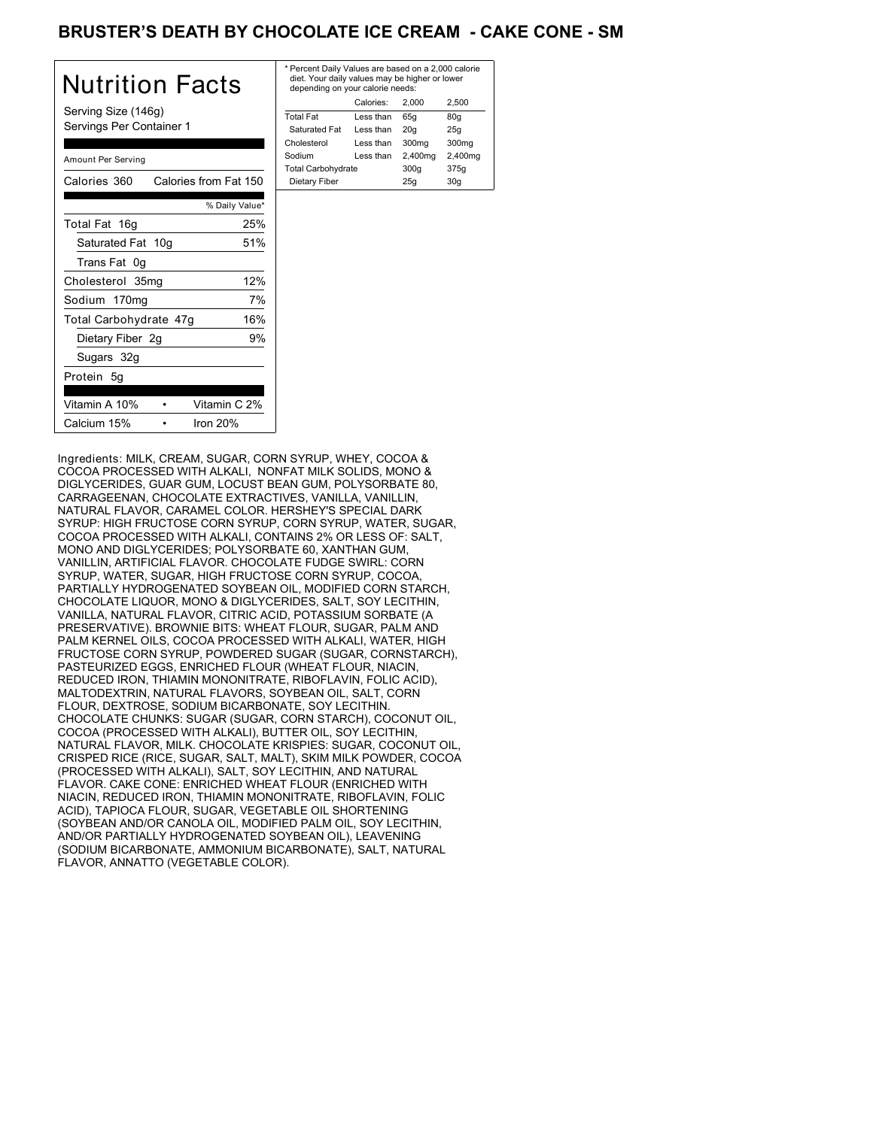# BRUSTER'S DEATH BY CHOCOLATE ICE CREAM - CAKE CONE - SM

| Nutrition Facts                                 | * Pe<br>die<br>de |
|-------------------------------------------------|-------------------|
| Serving Size (146g)<br>Servings Per Container 1 | Tota<br>Sa<br>Cho |
| Amount Per Serving                              | Sod<br>Tota       |
| Calories 360<br>Calories from Fat 150           | Die               |
| % Daily Value*                                  |                   |
| 25%<br>Total Fat 16q                            |                   |
| Saturated Fat 10g<br>51%                        |                   |
| Trans Fat 0g                                    |                   |
| 12%<br>Cholesterol 35mg                         |                   |
| 7%<br>Sodium 170mg                              |                   |
| 16%<br>Total Carbohydrate 47g                   |                   |
| 9%<br>Dietary Fiber 2g                          |                   |
| Sugars 32g                                      |                   |
| Protein 5g                                      |                   |
| Vitamin C 2%<br>Vitamin A 10%                   |                   |
| Calcium 15%<br>Iron $20%$                       |                   |

| * Percent Daily Values are based on a 2,000 calorie<br>diet. Your daily values may be higher or lower<br>depending on your calorie needs: |           |         |                   |
|-------------------------------------------------------------------------------------------------------------------------------------------|-----------|---------|-------------------|
|                                                                                                                                           | Calories: | 2.000   | 2.500             |
| <b>Total Fat</b>                                                                                                                          | Less than | 65q     | 80q               |
| Saturated Fat                                                                                                                             | Less than | 20q     | 25q               |
| Cholesterol                                                                                                                               | Less than | 300mg   | 300 <sub>mq</sub> |
| Sodium                                                                                                                                    | Less than | 2,400mg | 2,400mg           |
| <b>Total Carbohydrate</b>                                                                                                                 |           | 300q    | 375g              |
| Dietary Fiber                                                                                                                             |           | 25q     | 30q               |
|                                                                                                                                           |           |         |                   |

Ingredients: MILK, CREAM, SUGAR, CORN SYRUP, WHEY, COCOA & COCOA PROCESSED WITH ALKALI, NONFAT MILK SOLIDS, MONO & DIGLYCERIDES, GUAR GUM, LOCUST BEAN GUM, POLYSORBATE 80, CARRAGEENAN, CHOCOLATE EXTRACTIVES, VANILLA, VANILLIN, NATURAL FLAVOR, CARAMEL COLOR. HERSHEY'S SPECIAL DARK SYRUP: HIGH FRUCTOSE CORN SYRUP, CORN SYRUP, WATER, SUGAR, COCOA PROCESSED WITH ALKALI, CONTAINS 2% OR LESS OF: SALT, MONO AND DIGLYCERIDES; POLYSORBATE 60, XANTHAN GUM, VANILLIN, ARTIFICIAL FLAVOR. CHOCOLATE FUDGE SWIRL: CORN SYRUP, WATER, SUGAR, HIGH FRUCTOSE CORN SYRUP, COCOA, PARTIALLY HYDROGENATED SOYBEAN OIL, MODIFIED CORN STARCH, CHOCOLATE LIQUOR, MONO & DIGLYCERIDES, SALT, SOY LECITHIN, VANILLA, NATURAL FLAVOR, CITRIC ACID, POTASSIUM SORBATE (A PRESERVATIVE). BROWNIE BITS: WHEAT FLOUR, SUGAR, PALM AND PALM KERNEL OILS, COCOA PROCESSED WITH ALKALI, WATER, HIGH FRUCTOSE CORN SYRUP, POWDERED SUGAR (SUGAR, CORNSTARCH), PASTEURIZED EGGS, ENRICHED FLOUR (WHEAT FLOUR, NIACIN, REDUCED IRON, THIAMIN MONONITRATE, RIBOFLAVIN, FOLIC ACID), MALTODEXTRIN, NATURAL FLAVORS, SOYBEAN OIL, SALT, CORN FLOUR, DEXTROSE, SODIUM BICARBONATE, SOY LECITHIN. CHOCOLATE CHUNKS: SUGAR (SUGAR, CORN STARCH), COCONUT OIL, COCOA (PROCESSED WITH ALKALI), BUTTER OIL, SOY LECITHIN, NATURAL FLAVOR, MILK. CHOCOLATE KRISPIES: SUGAR, COCONUT OIL, CRISPED RICE (RICE, SUGAR, SALT, MALT), SKIM MILK POWDER, COCOA (PROCESSED WITH ALKALI), SALT, SOY LECITHIN, AND NATURAL FLAVOR. CAKE CONE: ENRICHED WHEAT FLOUR (ENRICHED WITH NIACIN, REDUCED IRON, THIAMIN MONONITRATE, RIBOFLAVIN, FOLIC ACID), TAPIOCA FLOUR, SUGAR, VEGETABLE OIL SHORTENING (SOYBEAN AND/OR CANOLA OIL, MODIFIED PALM OIL, SOY LECITHIN, AND/OR PARTIALLY HYDROGENATED SOYBEAN OIL), LEAVENING (SODIUM BICARBONATE, AMMONIUM BICARBONATE), SALT, NATURAL FLAVOR, ANNATTO (VEGETABLE COLOR).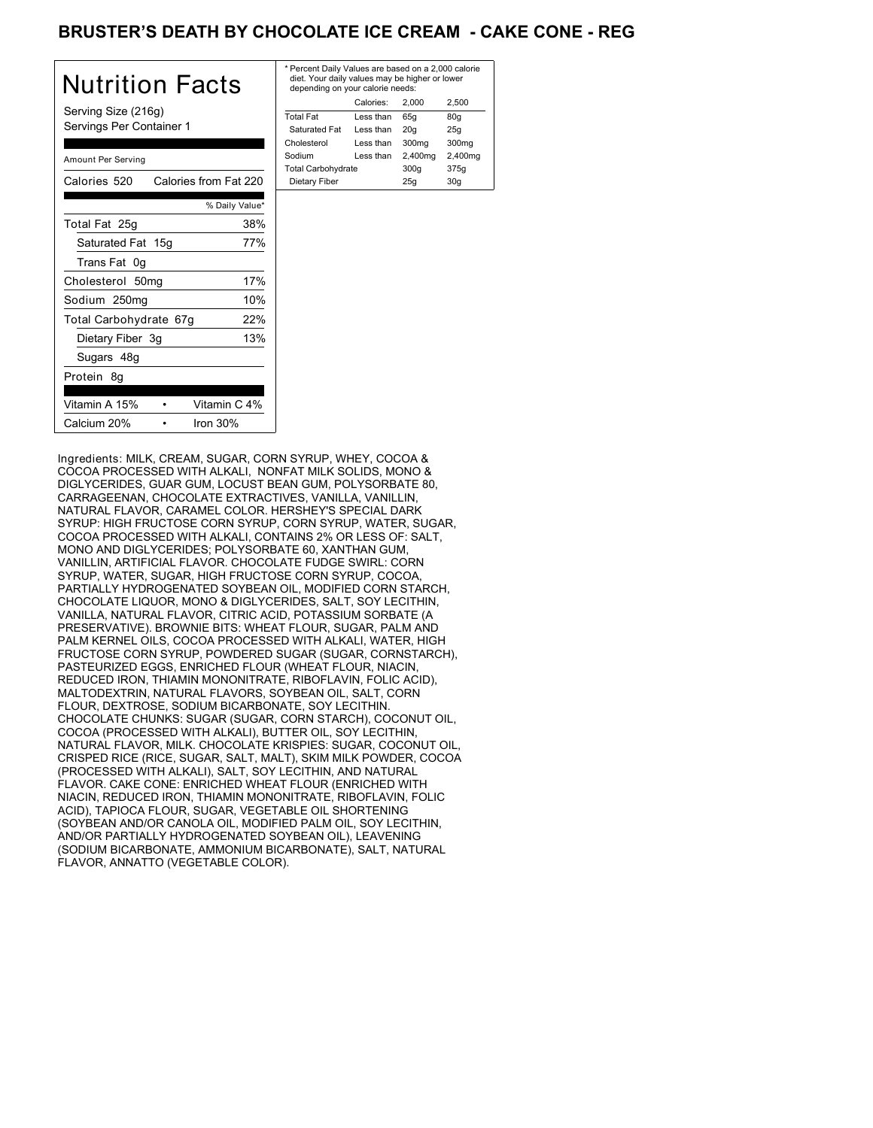# BRUSTER'S DEATH BY CHOCOLATE ICE CREAM **- CAKE CONE - REG**

| Nutrition Facts                                 | $*$ Pe<br>die<br>de |
|-------------------------------------------------|---------------------|
| Serving Size (216g)<br>Servings Per Container 1 | Tota<br>Sa<br>Cho   |
| Amount Per Serving                              | Soc<br>Tota         |
| Calories from Fat 220<br>Calories 520           | Di                  |
| % Daily Value*                                  |                     |
| Total Fat 25g<br>38%                            |                     |
| Saturated Fat 15g<br>77%                        |                     |
| Trans Fat 0g                                    |                     |
| 17%<br>Cholesterol 50mg                         |                     |
| 10%<br>Sodium 250mg                             |                     |
| 22%<br>Total Carbohydrate 67g                   |                     |
| 13%<br>Dietary Fiber 3g                         |                     |
| Sugars 48g                                      |                     |
| Protein 8g                                      |                     |
| Vitamin C 4%<br>Vitamin A 15%                   |                     |
| Calcium 20%<br>Iron $30%$                       |                     |

| * Percent Daily Values are based on a 2,000 calorie<br>diet. Your daily values may be higher or lower<br>depending on your calorie needs: |           |         |                   |
|-------------------------------------------------------------------------------------------------------------------------------------------|-----------|---------|-------------------|
|                                                                                                                                           | Calories: | 2.000   | 2.500             |
| <b>Total Fat</b>                                                                                                                          | Less than | 65q     | 80q               |
| Saturated Fat                                                                                                                             | Less than | 20q     | 25q               |
| Cholesterol                                                                                                                               | Less than | 300mg   | 300 <sub>mq</sub> |
| Sodium                                                                                                                                    | Less than | 2,400mg | 2,400mg           |
| <b>Total Carbohydrate</b>                                                                                                                 |           | 300q    | 375g              |
| Dietary Fiber                                                                                                                             |           | 25q     | 30q               |
|                                                                                                                                           |           |         |                   |

Ingredients: MILK, CREAM, SUGAR, CORN SYRUP, WHEY, COCOA & COCOA PROCESSED WITH ALKALI, NONFAT MILK SOLIDS, MONO & DIGLYCERIDES, GUAR GUM, LOCUST BEAN GUM, POLYSORBATE 80, CARRAGEENAN, CHOCOLATE EXTRACTIVES, VANILLA, VANILLIN, NATURAL FLAVOR, CARAMEL COLOR. HERSHEY'S SPECIAL DARK SYRUP: HIGH FRUCTOSE CORN SYRUP, CORN SYRUP, WATER, SUGAR, COCOA PROCESSED WITH ALKALI, CONTAINS 2% OR LESS OF: SALT, MONO AND DIGLYCERIDES; POLYSORBATE 60, XANTHAN GUM, VANILLIN, ARTIFICIAL FLAVOR. CHOCOLATE FUDGE SWIRL: CORN SYRUP, WATER, SUGAR, HIGH FRUCTOSE CORN SYRUP, COCOA, PARTIALLY HYDROGENATED SOYBEAN OIL, MODIFIED CORN STARCH, CHOCOLATE LIQUOR, MONO & DIGLYCERIDES, SALT, SOY LECITHIN, VANILLA, NATURAL FLAVOR, CITRIC ACID, POTASSIUM SORBATE (A PRESERVATIVE). BROWNIE BITS: WHEAT FLOUR, SUGAR, PALM AND PALM KERNEL OILS, COCOA PROCESSED WITH ALKALI, WATER, HIGH FRUCTOSE CORN SYRUP, POWDERED SUGAR (SUGAR, CORNSTARCH), PASTEURIZED EGGS, ENRICHED FLOUR (WHEAT FLOUR, NIACIN, REDUCED IRON, THIAMIN MONONITRATE, RIBOFLAVIN, FOLIC ACID), MALTODEXTRIN, NATURAL FLAVORS, SOYBEAN OIL, SALT, CORN FLOUR, DEXTROSE, SODIUM BICARBONATE, SOY LECITHIN. CHOCOLATE CHUNKS: SUGAR (SUGAR, CORN STARCH), COCONUT OIL, COCOA (PROCESSED WITH ALKALI), BUTTER OIL, SOY LECITHIN, NATURAL FLAVOR, MILK. CHOCOLATE KRISPIES: SUGAR, COCONUT OIL, CRISPED RICE (RICE, SUGAR, SALT, MALT), SKIM MILK POWDER, COCOA (PROCESSED WITH ALKALI), SALT, SOY LECITHIN, AND NATURAL FLAVOR. CAKE CONE: ENRICHED WHEAT FLOUR (ENRICHED WITH NIACIN, REDUCED IRON, THIAMIN MONONITRATE, RIBOFLAVIN, FOLIC ACID), TAPIOCA FLOUR, SUGAR, VEGETABLE OIL SHORTENING (SOYBEAN AND/OR CANOLA OIL, MODIFIED PALM OIL, SOY LECITHIN, AND/OR PARTIALLY HYDROGENATED SOYBEAN OIL), LEAVENING (SODIUM BICARBONATE, AMMONIUM BICARBONATE), SALT, NATURAL FLAVOR, ANNATTO (VEGETABLE COLOR).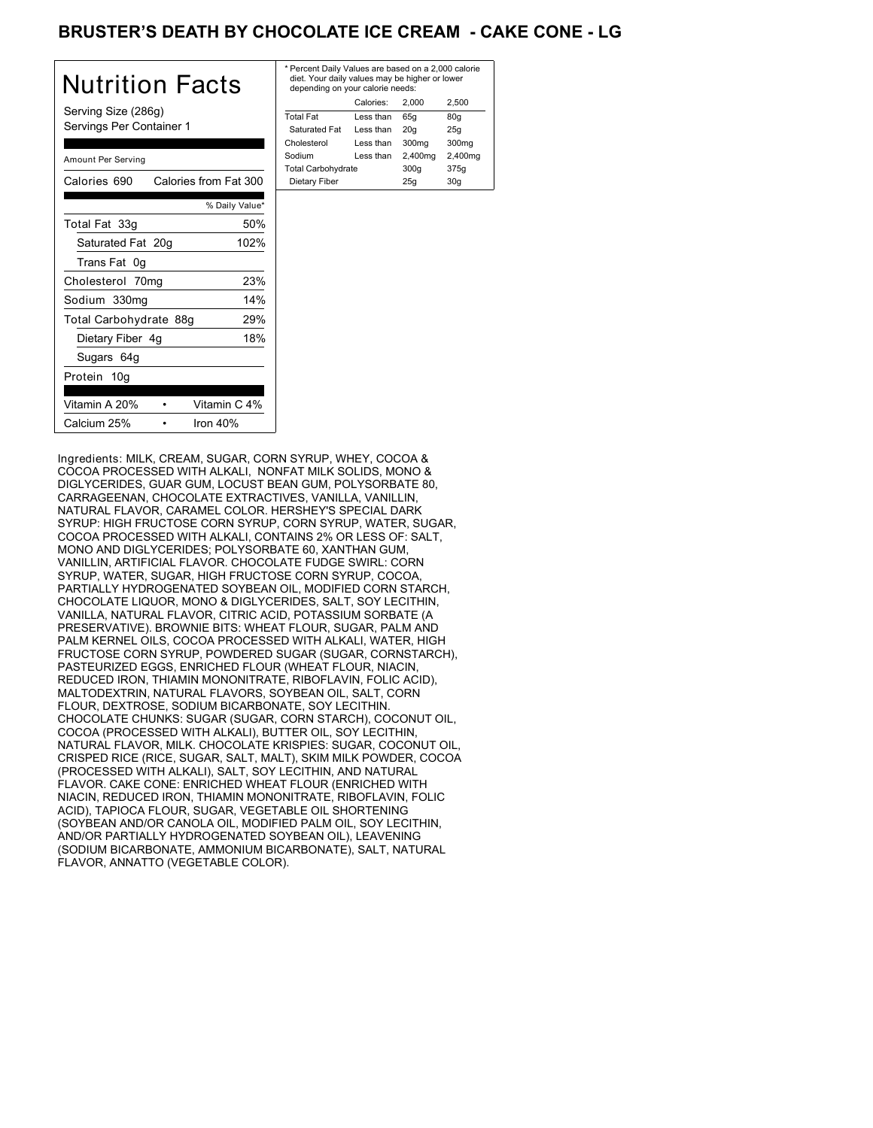# BRUSTER'S DEATH BY CHOCOLATE ICE CREAM **- CAKE CONE - LG**

| Nutrition Facts                                 | * P<br>d<br>$\overline{d}$ |
|-------------------------------------------------|----------------------------|
| Serving Size (286g)<br>Servings Per Container 1 | To<br>S<br>Ch              |
| Amount Per Serving                              | So<br>To                   |
| Calories 690<br>Calories from Fat 300           | D                          |
| % Daily Value*                                  |                            |
| 50%<br>Total Fat 33g                            |                            |
| 102%<br>Saturated Fat 20g                       |                            |
| Trans Fat 0g                                    |                            |
| 23%<br>Cholesterol 70mg                         |                            |
| Sodium 330mg<br>14%                             |                            |
| 29%<br>Total Carbohydrate 88g                   |                            |
| 18%<br>Dietary Fiber 4g                         |                            |
| Sugars 64g                                      |                            |
| Protein 10g                                     |                            |
| Vitamin A 20%<br>Vitamin C 4%                   |                            |
| Calcium 25%<br>Iron 40%                         |                            |

| * Percent Daily Values are based on a 2,000 calorie<br>diet. Your daily values may be higher or lower<br>depending on your calorie needs: |           |         |                   |
|-------------------------------------------------------------------------------------------------------------------------------------------|-----------|---------|-------------------|
|                                                                                                                                           | Calories: | 2.000   | 2.500             |
| <b>Total Fat</b>                                                                                                                          | Less than | 65q     | 80q               |
| Saturated Fat                                                                                                                             | Less than | 20q     | 25q               |
| Cholesterol                                                                                                                               | Less than | 300mg   | 300 <sub>mq</sub> |
| Sodium                                                                                                                                    | Less than | 2,400mg | 2,400mg           |
| <b>Total Carbohydrate</b>                                                                                                                 |           | 300q    | 375g              |
| 25q<br>30q<br>Dietary Fiber                                                                                                               |           |         |                   |
|                                                                                                                                           |           |         |                   |

Ingredients: MILK, CREAM, SUGAR, CORN SYRUP, WHEY, COCOA & COCOA PROCESSED WITH ALKALI, NONFAT MILK SOLIDS, MONO & DIGLYCERIDES, GUAR GUM, LOCUST BEAN GUM, POLYSORBATE 80, CARRAGEENAN, CHOCOLATE EXTRACTIVES, VANILLA, VANILLIN, NATURAL FLAVOR, CARAMEL COLOR. HERSHEY'S SPECIAL DARK SYRUP: HIGH FRUCTOSE CORN SYRUP, CORN SYRUP, WATER, SUGAR, COCOA PROCESSED WITH ALKALI, CONTAINS 2% OR LESS OF: SALT, MONO AND DIGLYCERIDES; POLYSORBATE 60, XANTHAN GUM, VANILLIN, ARTIFICIAL FLAVOR. CHOCOLATE FUDGE SWIRL: CORN SYRUP, WATER, SUGAR, HIGH FRUCTOSE CORN SYRUP, COCOA, PARTIALLY HYDROGENATED SOYBEAN OIL, MODIFIED CORN STARCH, CHOCOLATE LIQUOR, MONO & DIGLYCERIDES, SALT, SOY LECITHIN, VANILLA, NATURAL FLAVOR, CITRIC ACID, POTASSIUM SORBATE (A PRESERVATIVE). BROWNIE BITS: WHEAT FLOUR, SUGAR, PALM AND PALM KERNEL OILS, COCOA PROCESSED WITH ALKALI, WATER, HIGH FRUCTOSE CORN SYRUP, POWDERED SUGAR (SUGAR, CORNSTARCH), PASTEURIZED EGGS, ENRICHED FLOUR (WHEAT FLOUR, NIACIN, REDUCED IRON, THIAMIN MONONITRATE, RIBOFLAVIN, FOLIC ACID), MALTODEXTRIN, NATURAL FLAVORS, SOYBEAN OIL, SALT, CORN FLOUR, DEXTROSE, SODIUM BICARBONATE, SOY LECITHIN. CHOCOLATE CHUNKS: SUGAR (SUGAR, CORN STARCH), COCONUT OIL, COCOA (PROCESSED WITH ALKALI), BUTTER OIL, SOY LECITHIN, NATURAL FLAVOR, MILK. CHOCOLATE KRISPIES: SUGAR, COCONUT OIL, CRISPED RICE (RICE, SUGAR, SALT, MALT), SKIM MILK POWDER, COCOA (PROCESSED WITH ALKALI), SALT, SOY LECITHIN, AND NATURAL FLAVOR. CAKE CONE: ENRICHED WHEAT FLOUR (ENRICHED WITH NIACIN, REDUCED IRON, THIAMIN MONONITRATE, RIBOFLAVIN, FOLIC ACID), TAPIOCA FLOUR, SUGAR, VEGETABLE OIL SHORTENING (SOYBEAN AND/OR CANOLA OIL, MODIFIED PALM OIL, SOY LECITHIN, AND/OR PARTIALLY HYDROGENATED SOYBEAN OIL), LEAVENING (SODIUM BICARBONATE, AMMONIUM BICARBONATE), SALT, NATURAL FLAVOR, ANNATTO (VEGETABLE COLOR).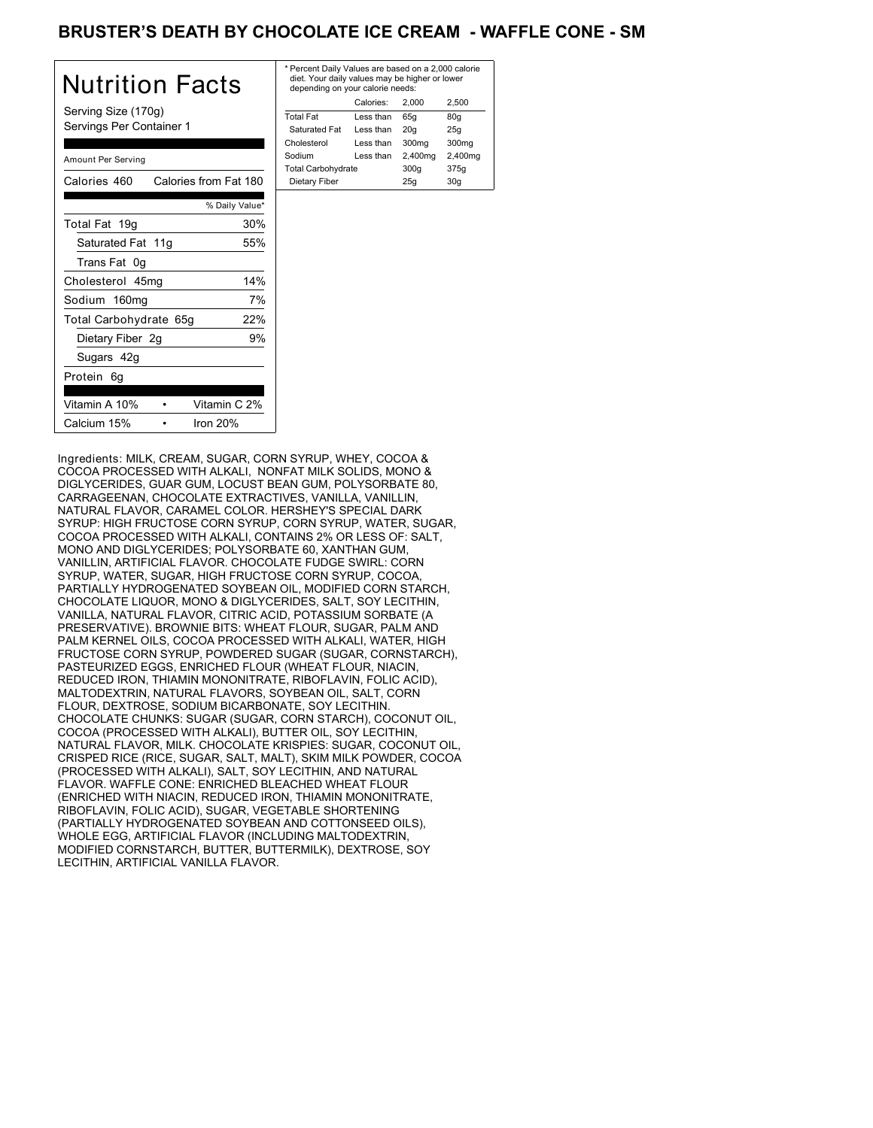## BRUSTER'S DEATH BY CHOCOLATE ICE CREAM - WAFFLE CONE - SM

| Nutrition Facts                                 | * Per<br>diet<br>dep   |
|-------------------------------------------------|------------------------|
| Serving Size (170g)<br>Servings Per Container 1 | Total<br>Satu          |
| Amount Per Serving                              | Chole<br>Sodi<br>Total |
| Calories from Fat 180<br>Calories 460           | Diet                   |
| % Daily Value*                                  |                        |
| 30%<br>Total Fat 19g                            |                        |
| Saturated Fat 11g<br>55%                        |                        |
| Trans Fat 0g                                    |                        |
| 14%<br>Cholesterol 45mg                         |                        |
| 7%<br>Sodium 160mg                              |                        |
| 22%<br>Total Carbohydrate 65g                   |                        |
| 9%<br>Dietary Fiber 2g                          |                        |
| Sugars 42g                                      |                        |
| Protein 6g                                      |                        |
| Vitamin A 10%<br>Vitamin C 2%                   |                        |
| Iron $20%$<br>Calcium 15%                       |                        |

| * Percent Daily Values are based on a 2,000 calorie<br>diet. Your daily values may be higher or lower<br>depending on your calorie needs: |           |         |                   |
|-------------------------------------------------------------------------------------------------------------------------------------------|-----------|---------|-------------------|
|                                                                                                                                           | Calories: | 2.000   | 2.500             |
| <b>Total Fat</b>                                                                                                                          | Less than | 65q     | 80q               |
| Saturated Fat                                                                                                                             | Less than | 20q     | 25q               |
| Cholesterol                                                                                                                               | Less than | 300mg   | 300 <sub>mq</sub> |
| Sodium                                                                                                                                    | Less than | 2,400mg | 2,400mg           |
| <b>Total Carbohydrate</b>                                                                                                                 |           | 300q    | 375g              |
| Dietary Fiber                                                                                                                             |           | 25q     | 30q               |
|                                                                                                                                           |           |         |                   |

Ingredients: MILK, CREAM, SUGAR, CORN SYRUP, WHEY, COCOA & COCOA PROCESSED WITH ALKALI, NONFAT MILK SOLIDS, MONO & DIGLYCERIDES, GUAR GUM, LOCUST BEAN GUM, POLYSORBATE 80, CARRAGEENAN, CHOCOLATE EXTRACTIVES, VANILLA, VANILLIN, NATURAL FLAVOR, CARAMEL COLOR. HERSHEY'S SPECIAL DARK SYRUP: HIGH FRUCTOSE CORN SYRUP, CORN SYRUP, WATER, SUGAR, COCOA PROCESSED WITH ALKALI, CONTAINS 2% OR LESS OF: SALT, MONO AND DIGLYCERIDES; POLYSORBATE 60, XANTHAN GUM, VANILLIN, ARTIFICIAL FLAVOR. CHOCOLATE FUDGE SWIRL: CORN SYRUP, WATER, SUGAR, HIGH FRUCTOSE CORN SYRUP, COCOA, PARTIALLY HYDROGENATED SOYBEAN OIL, MODIFIED CORN STARCH, CHOCOLATE LIQUOR, MONO & DIGLYCERIDES, SALT, SOY LECITHIN, VANILLA, NATURAL FLAVOR, CITRIC ACID, POTASSIUM SORBATE (A PRESERVATIVE). BROWNIE BITS: WHEAT FLOUR, SUGAR, PALM AND PALM KERNEL OILS, COCOA PROCESSED WITH ALKALI, WATER, HIGH FRUCTOSE CORN SYRUP, POWDERED SUGAR (SUGAR, CORNSTARCH), PASTEURIZED EGGS, ENRICHED FLOUR (WHEAT FLOUR, NIACIN, REDUCED IRON, THIAMIN MONONITRATE, RIBOFLAVIN, FOLIC ACID), MALTODEXTRIN, NATURAL FLAVORS, SOYBEAN OIL, SALT, CORN FLOUR, DEXTROSE, SODIUM BICARBONATE, SOY LECITHIN. CHOCOLATE CHUNKS: SUGAR (SUGAR, CORN STARCH), COCONUT OIL, COCOA (PROCESSED WITH ALKALI), BUTTER OIL, SOY LECITHIN, NATURAL FLAVOR, MILK. CHOCOLATE KRISPIES: SUGAR, COCONUT OIL, CRISPED RICE (RICE, SUGAR, SALT, MALT), SKIM MILK POWDER, COCOA (PROCESSED WITH ALKALI), SALT, SOY LECITHIN, AND NATURAL FLAVOR. WAFFLE CONE: ENRICHED BLEACHED WHEAT FLOUR (ENRICHED WITH NIACIN, REDUCED IRON, THIAMIN MONONITRATE, RIBOFLAVIN, FOLIC ACID), SUGAR, VEGETABLE SHORTENING (PARTIALLY HYDROGENATED SOYBEAN AND COTTONSEED OILS), WHOLE EGG, ARTIFICIAL FLAVOR (INCLUDING MALTODEXTRIN, MODIFIED CORNSTARCH, BUTTER, BUTTERMILK), DEXTROSE, SOY LECITHIN, ARTIFICIAL VANILLA FLAVOR.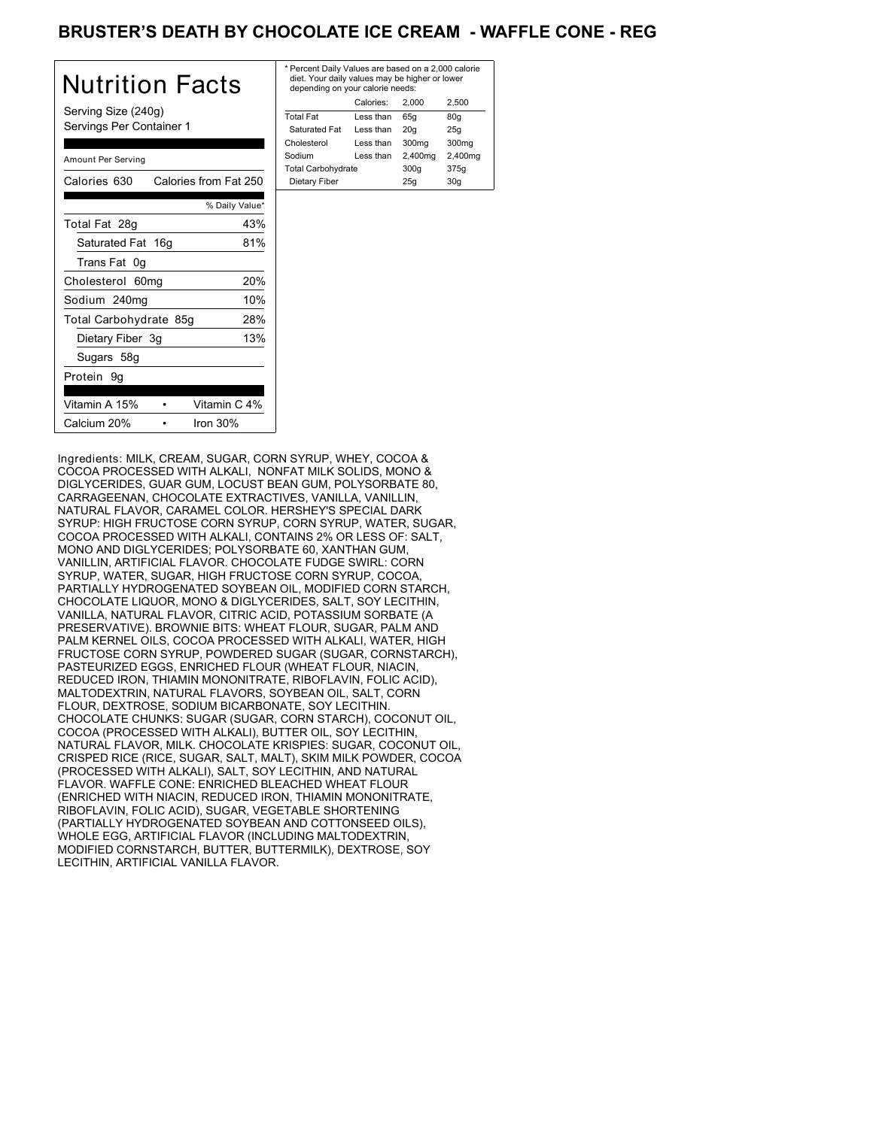# BRUSTER'S DEATH BY CHOCOLATE ICE CREAM - WAFFLE CONE - REG

| <b>Nutrition Facts</b>                          | * Pe<br>die<br>de |
|-------------------------------------------------|-------------------|
| Serving Size (240g)<br>Servings Per Container 1 | Tota<br>Sa        |
| Amount Per Serving                              | Cho<br>Soc<br>Tot |
| Calories from Fat 250<br>Calories 630           | Di                |
| % Daily Value*                                  |                   |
| 43%<br>Total Fat 28g                            |                   |
| Saturated Fat 16g<br>81%                        |                   |
| Trans Fat 0g                                    |                   |
| 20%<br>Cholesterol 60mg                         |                   |
| 10%<br>Sodium 240mg                             |                   |
| Total Carbohydrate 85g<br>28%                   |                   |
| 13%<br>Dietary Fiber 3g                         |                   |
| Sugars 58g                                      |                   |
| Protein 9g                                      |                   |
| Vitamin A 15%<br>Vitamin C 4%                   |                   |
| Calcium 20%<br>Iron $30%$                       |                   |

| * Percent Daily Values are based on a 2,000 calorie<br>diet. Your daily values may be higher or lower<br>depending on your calorie needs: |           |         |         |
|-------------------------------------------------------------------------------------------------------------------------------------------|-----------|---------|---------|
|                                                                                                                                           | Calories: | 2.000   | 2.500   |
| <b>Total Fat</b>                                                                                                                          | Less than | 65q     | 80q     |
| Saturated Fat                                                                                                                             | Less than | 20q     | 25q     |
| Cholesterol                                                                                                                               | Less than | 300mg   | 300mg   |
| Sodium                                                                                                                                    | Less than | 2,400mg | 2,400mg |
| <b>Total Carbohydrate</b>                                                                                                                 |           | 300q    | 375g    |
| Dietary Fiber                                                                                                                             |           | 25q     | 30q     |
|                                                                                                                                           |           |         |         |

Ingredients: MILK, CREAM, SUGAR, CORN SYRUP, WHEY, COCOA & COCOA PROCESSED WITH ALKALI, NONFAT MILK SOLIDS, MONO & DIGLYCERIDES, GUAR GUM, LOCUST BEAN GUM, POLYSORBATE 80, CARRAGEENAN, CHOCOLATE EXTRACTIVES, VANILLA, VANILLIN, NATURAL FLAVOR, CARAMEL COLOR. HERSHEY'S SPECIAL DARK SYRUP: HIGH FRUCTOSE CORN SYRUP, CORN SYRUP, WATER, SUGAR, COCOA PROCESSED WITH ALKALI, CONTAINS 2% OR LESS OF: SALT, MONO AND DIGLYCERIDES; POLYSORBATE 60, XANTHAN GUM, VANILLIN, ARTIFICIAL FLAVOR. CHOCOLATE FUDGE SWIRL: CORN SYRUP, WATER, SUGAR, HIGH FRUCTOSE CORN SYRUP, COCOA, PARTIALLY HYDROGENATED SOYBEAN OIL, MODIFIED CORN STARCH, CHOCOLATE LIQUOR, MONO & DIGLYCERIDES, SALT, SOY LECITHIN, VANILLA, NATURAL FLAVOR, CITRIC ACID, POTASSIUM SORBATE (A PRESERVATIVE). BROWNIE BITS: WHEAT FLOUR, SUGAR, PALM AND PALM KERNEL OILS, COCOA PROCESSED WITH ALKALI, WATER, HIGH FRUCTOSE CORN SYRUP, POWDERED SUGAR (SUGAR, CORNSTARCH), PASTEURIZED EGGS, ENRICHED FLOUR (WHEAT FLOUR, NIACIN, REDUCED IRON, THIAMIN MONONITRATE, RIBOFLAVIN, FOLIC ACID), MALTODEXTRIN, NATURAL FLAVORS, SOYBEAN OIL, SALT, CORN FLOUR, DEXTROSE, SODIUM BICARBONATE, SOY LECITHIN. CHOCOLATE CHUNKS: SUGAR (SUGAR, CORN STARCH), COCONUT OIL, COCOA (PROCESSED WITH ALKALI), BUTTER OIL, SOY LECITHIN, NATURAL FLAVOR, MILK. CHOCOLATE KRISPIES: SUGAR, COCONUT OIL, CRISPED RICE (RICE, SUGAR, SALT, MALT), SKIM MILK POWDER, COCOA (PROCESSED WITH ALKALI), SALT, SOY LECITHIN, AND NATURAL FLAVOR. WAFFLE CONE: ENRICHED BLEACHED WHEAT FLOUR (ENRICHED WITH NIACIN, REDUCED IRON, THIAMIN MONONITRATE, RIBOFLAVIN, FOLIC ACID), SUGAR, VEGETABLE SHORTENING (PARTIALLY HYDROGENATED SOYBEAN AND COTTONSEED OILS), WHOLE EGG, ARTIFICIAL FLAVOR (INCLUDING MALTODEXTRIN, MODIFIED CORNSTARCH, BUTTER, BUTTERMILK), DEXTROSE, SOY LECITHIN, ARTIFICIAL VANILLA FLAVOR.